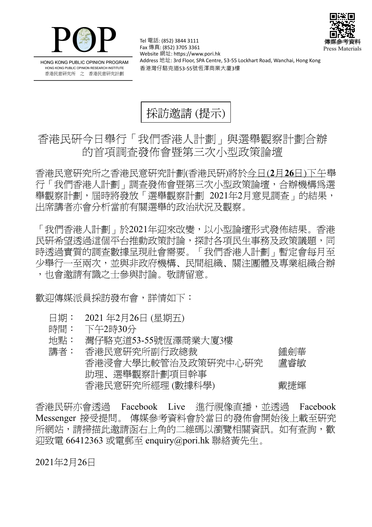



HONG KONG PUBLIC OPINION PROGRAM HONG KONG PUBLIC OPINION RESEARCH INSTITUTE 香港民意研究所 之 香港民意研究計劃

Tel 電話: (852) 3844 3111 Fax 傳真: (852) 3705 3361 Website 網址: https://www.pori.hk Address 地址: 3rd Floor, SPA Centre, 53-55 Lockhart Road, Wanchai, Hong Kong 香港灣仔駱克道53-55號恆澤商業大廈3樓



## 香港民研今日舉行「我們香港人計劃」與選舉觀察計劃合辦 的首項調查發佈會暨第三次小型政策論壇

香 港 民 意 研 究 所 之 香 港 民 意 研 究 計 劃 (香 港 民 研)將 於 今日(**2** 月**26** 日)下午舉 行 「我 們 香 港 人 計 劃」 調 查 發 佈 會 暨 第 三 次 小 型 政 策 論 壇 , 合 辦 機 構 為 選 舉觀察計劃,屆時將發放「選舉觀察計劃 2021年2月意見調査」的結果, 出席講者亦會分析當前有關選舉的政治狀況及觀察。

「我們香港人計劃」於2021年迎來改變,以小型論壇形式發佈結果。香港 民研希望透過這個平台推動政策討論,探討各項民生事務及政策議題,同 時透過實質的調查數據呈現社會需要。「我們香港人計劃」暫定會每月至 少舉行一至兩次,並與非政府機構、民間組織、關注團體及專業組織合辦 ,也會激請有識之士參與討論。敬請留意。

歡迎傳媒派員採訪發布會,詳情如下:

- 日期: 2021年2月26日 (星期五)
- 時間: 下午2時30分
- 地點: 灣仔駱克道53-55號恆澤商業大廈3樓
- 講 者 : 香 港 民 意 研 究 所 副 行 政 總 裁 鍾 劍 華 香港浸會大學比較管治及政策研究中心研究 助理、選舉觀察計劃項目幹事 盧 睿 敏 香港民意研究所經理 (數據科學) インチン 載捷輝

香港民研亦會诱渦 Facebook Live 淮行視像直播,並透過 Facebook Messenger 接受提問。 傳媒參考資料會於當日的發佈會開始後上載至研究 所網站,請掃描此激請函右上角的二維碼以瀏覽相關資訊。如有杳詢,歡  $\overline{1}$ 迎致雷 66412363 或電郵至 enquiry@pori.hk 聯絡黃先生。

2021年2月26日